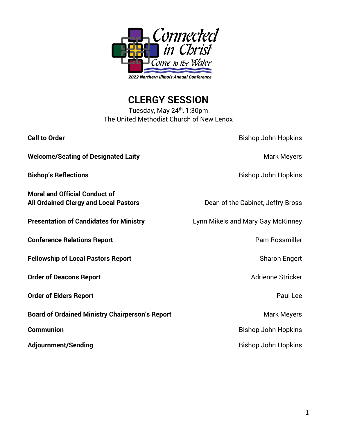

**CLERGY SESSION**

Tuesday, May 24<sup>th</sup>, 1:30pm The United Methodist Church of New Lenox

| <b>Call to Order</b>                                                                 | <b>Bishop John Hopkins</b>        |
|--------------------------------------------------------------------------------------|-----------------------------------|
| <b>Welcome/Seating of Designated Laity</b>                                           | <b>Mark Meyers</b>                |
| <b>Bishop's Reflections</b>                                                          | <b>Bishop John Hopkins</b>        |
| <b>Moral and Official Conduct of</b><br><b>All Ordained Clergy and Local Pastors</b> | Dean of the Cabinet, Jeffry Bross |
| <b>Presentation of Candidates for Ministry</b>                                       | Lynn Mikels and Mary Gay McKinney |
| <b>Conference Relations Report</b>                                                   | <b>Pam Rossmiller</b>             |
| <b>Fellowship of Local Pastors Report</b>                                            | <b>Sharon Engert</b>              |
| <b>Order of Deacons Report</b>                                                       | <b>Adrienne Stricker</b>          |
| <b>Order of Elders Report</b>                                                        | Paul Lee                          |
| <b>Board of Ordained Ministry Chairperson's Report</b>                               | <b>Mark Meyers</b>                |
| <b>Communion</b>                                                                     | <b>Bishop John Hopkins</b>        |
| <b>Adjournment/Sending</b>                                                           | <b>Bishop John Hopkins</b>        |
|                                                                                      |                                   |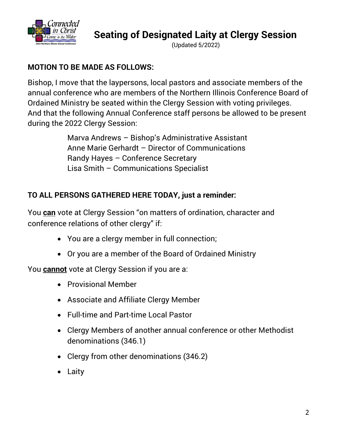

**Seating of Designated Laity at Clergy Session**

(Updated 5/2022)

## **MOTION TO BE MADE AS FOLLOWS:**

Bishop, I move that the laypersons, local pastors and associate members of the annual conference who are members of the Northern Illinois Conference Board of Ordained Ministry be seated within the Clergy Session with voting privileges. And that the following Annual Conference staff persons be allowed to be present during the 2022 Clergy Session:

> Marva Andrews – Bishop's Administrative Assistant Anne Marie Gerhardt – Director of Communications Randy Hayes – Conference Secretary Lisa Smith – Communications Specialist

## **TO ALL PERSONS GATHERED HERE TODAY, just a reminder:**

You **can** vote at Clergy Session "on matters of ordination, character and conference relations of other clergy" if:

- You are a clergy member in full connection;
- Or you are a member of the Board of Ordained Ministry

You **cannot** vote at Clergy Session if you are a:

- Provisional Member
- Associate and Affiliate Clergy Member
- Full-time and Part-time Local Pastor
- Clergy Members of another annual conference or other Methodist denominations (346.1)
- Clergy from other denominations (346.2)
- Laity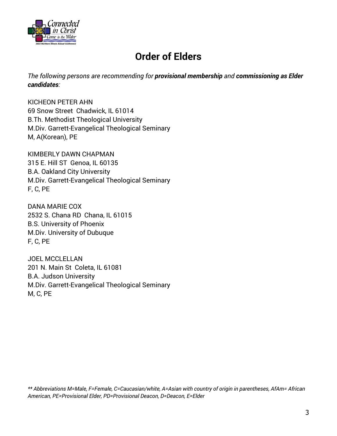

# **Order of Elders**

*The following persons are recommending for provisional membership and commissioning as Elder candidates:*

KICHEON PETER AHN 69 Snow Street Chadwick, IL 61014 B.Th. Methodist Theological University M.Div. Garrett-Evangelical Theological Seminary M, A(Korean), PE

KIMBERLY DAWN CHAPMAN 315 E. Hill ST Genoa, IL 60135 B.A. Oakland City University M.Div. Garrett-Evangelical Theological Seminary F, C, PE

DANA MARIE COX 2532 S. Chana RD Chana, IL 61015 B.S. University of Phoenix M.Div. University of Dubuque F, C, PE

JOEL MCCLELLAN 201 N. Main St Coleta, IL 61081 B.A. Judson University M.Div. Garrett-Evangelical Theological Seminary M, C, PE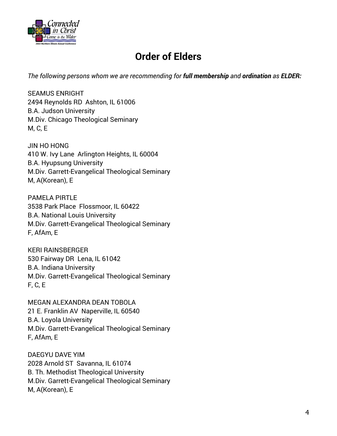

# **Order of Elders**

*The following persons whom we are recommending for full membership and ordination as ELDER:*

SEAMUS ENRIGHT 2494 Reynolds RD Ashton, IL 61006 B.A. Judson University M.Div. Chicago Theological Seminary M, C, E

JIN HO HONG 410 W. Ivy Lane Arlington Heights, IL 60004 B.A. Hyupsung University M.Div. Garrett-Evangelical Theological Seminary M, A(Korean), E

PAMELA PIRTLE 3538 Park Place Flossmoor, IL 60422 B.A. National Louis University M.Div. Garrett-Evangelical Theological Seminary F, AfAm, E

KERI RAINSBERGER 530 Fairway DR Lena, IL 61042 B.A. Indiana University M.Div. Garrett-Evangelical Theological Seminary F, C, E

MEGAN ALEXANDRA DEAN TOBOLA 21 E. Franklin AV Naperville, IL 60540 B.A. Loyola University M.Div. Garrett-Evangelical Theological Seminary F, AfAm, E

DAEGYU DAVE YIM 2028 Arnold ST Savanna, IL 61074 B. Th. Methodist Theological University M.Div. Garrett-Evangelical Theological Seminary M, A(Korean), E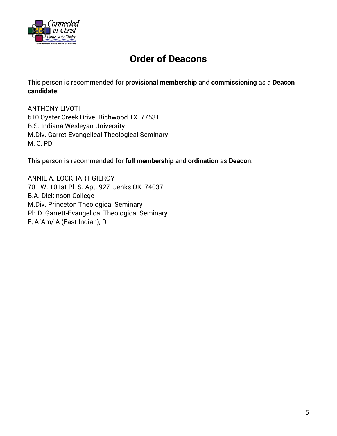

# **Order of Deacons**

This person is recommended for **provisional membership** and **commissioning** as a **Deacon candidate**:

ANTHONY LIVOTI 610 Oyster Creek Drive Richwood TX 77531 B.S. Indiana Wesleyan University M.Div. Garret-Evangelical Theological Seminary M, C, PD

This person is recommended for **full membership** and **ordination** as **Deacon**:

ANNIE A. LOCKHART GILROY 701 W. 101st Pl. S. Apt. 927 Jenks OK 74037 B.A. Dickinson College M.Div. Princeton Theological Seminary Ph.D. Garrett-Evangelical Theological Seminary F, AfAm/ A (East Indian), D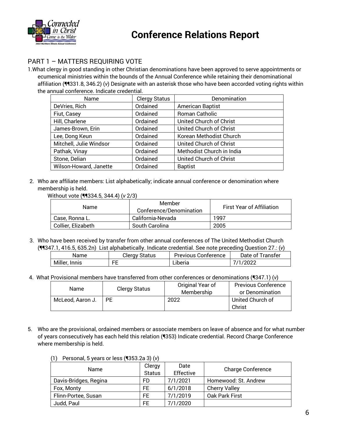

## PART 1 – MATTERS REQUIRING VOTE

1.What clergy in good standing in other Christian denominations have been approved to serve appointments or ecumenical ministries within the bounds of the Annual Conference while retaining their denominational affiliation (¶¶331.8, 346.2) (*v*) Designate with an asterisk those who have been accorded voting rights within the annual conference. Indicate credential.

| Name                    | <b>Clergy Status</b> | Denomination              |
|-------------------------|----------------------|---------------------------|
| DeVries, Rich           | Ordained             | <b>American Baptist</b>   |
| Fiut, Casey             | Ordained             | Roman Catholic            |
| Hill, Charlene          | Ordained             | United Church of Christ   |
| James-Brown, Erin       | Ordained             | United Church of Christ   |
| Lee, Dong Keun          | Ordained             | Korean Methodist Church   |
| Mitchell, Julie Windsor | Ordained             | United Church of Christ   |
| Pathak, Vinay           | Ordained             | Methodist Church in India |
| Stone, Delian           | Ordained             | United Church of Christ   |
| Wilson-Howard, Janette  | Ordained             | <b>Baptist</b>            |

2. Who are affiliate members: List alphabetically; indicate annual conference or denomination where membership is held.

Without vote (¶¶334.5, 344.4) (*v* 2/3)

| Name               | Member<br>Conference/Denomination | <b>First Year of Affiliation</b> |
|--------------------|-----------------------------------|----------------------------------|
| Case, Ronna L.     | California-Nevada                 | 1997                             |
| Collier, Elizabeth | South Carolina                    | 2005                             |

3. Who have been received by transfer from other annual conferences of The United Methodist Church (¶¶347.1, 416.5, 635.2n) List alphabetically. Indicate credential. See note preceding Question 27.: (*v*)

| Name          | Clergy Status | <b>Previous Conference</b> | Date of Transfer |
|---------------|---------------|----------------------------|------------------|
| Miller, Innis | FE            | ∟iberia                    | 7/1/2022         |

4. What Provisional members have transferred from other conferences or denominations (¶347.1) (*v*)

| Name             | <b>Clergy Status</b> | Original Year of<br>Membership | <b>Previous Conference</b><br>or Denomination |
|------------------|----------------------|--------------------------------|-----------------------------------------------|
| McLeod, Aaron J. | PF                   | 2022                           | United Church of<br>Christ                    |

5. Who are the provisional, ordained members or associate members on leave of absence and for what number of years consecutively has each held this relation (¶353) Indicate credential. Record Charge Conference where membership is held.

| <b>Name</b>           | Clergy<br>Status | Date<br>Effective | <b>Charge Conference</b> |
|-----------------------|------------------|-------------------|--------------------------|
| Davis-Bridges, Regina | FD               | 7/1/2021          | Homewood: St. Andrew     |
| Fox, Monty            | FF               | 6/1/2018          | <b>Cherry Valley</b>     |
| Flinn-Portee, Susan   | FF.              | 7/1/2019          | Oak Park First           |
| Judd, Paul            | FF               | 7/1/2020          |                          |

(1) Personal, 5 years or less (¶353.2a 3) (*v*)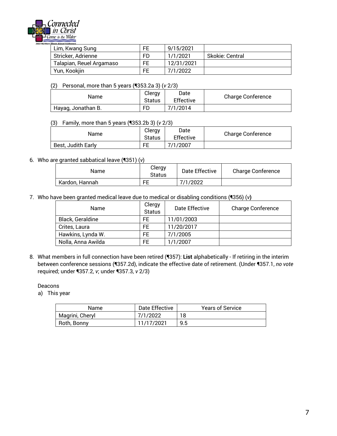

| rn Illinois Annual Conference |     |            |                 |
|-------------------------------|-----|------------|-----------------|
| Lim, Kwang Sung               | FE. | 9/15/2021  |                 |
| Stricker, Adrienne            | FD  | 1/1/2021   | Skokie: Central |
| Talapian, Reuel Argamaso      | FE  | 12/31/2021 |                 |
| Yun, Kookjin                  | FE  | 7/1/2022   |                 |

(2) Personal, more than 5 years (¶353.2a 3) (*v* 2/3)

| Name               | Clergy<br>Status | Date<br>Effective | <b>Charge Conference</b> |
|--------------------|------------------|-------------------|--------------------------|
| Hayag, Jonathan B. | FD               | 7/1/2014          |                          |

#### (3) Family, more than 5 years (¶353.2b 3) (*v* 2/3)

| Name               | Clergy<br>Status | Date<br>Effective | <b>Charge Conference</b> |
|--------------------|------------------|-------------------|--------------------------|
| Best, Judith Early | FE               | 7/1/2007          |                          |

#### 6. Who are granted sabbatical leave (¶351) (*v*)

| Name           | Clergy<br>Status | Date Effective | <b>Charge Conference</b> |
|----------------|------------------|----------------|--------------------------|
| Kardon, Hannah | FF               | 7/1/2022       |                          |

7. Who have been granted medical leave due to medical or disabling conditions (¶356) (*v***)**

| Name               | Clergy<br><b>Status</b> | Date Effective | <b>Charge Conference</b> |
|--------------------|-------------------------|----------------|--------------------------|
| Black, Geraldine   | FF                      | 11/01/2003     |                          |
| Crites, Laura      | FF                      | 11/20/2017     |                          |
| Hawkins, Lynda W.  | FF                      | 7/1/2005       |                          |
| Nolla, Anna Awilda | FF.                     | 1/1/2007       |                          |

8. What members in full connection have been retired (¶357): **List** alphabetically - If retiring in the interim between conference sessions (¶357.2d), indicate the effective date of retirement. (Under ¶357.1, *no vote* required; under ¶357.2, *v*; under ¶357.3, *v* 2/3)

Deacons

a) This year

| Name            | Date Effective | <b>Years of Service</b> |
|-----------------|----------------|-------------------------|
| Magrini, Cheryl | 7/1/2022       |                         |
| Roth, Bonny     | 11/17/2021     | 9.5                     |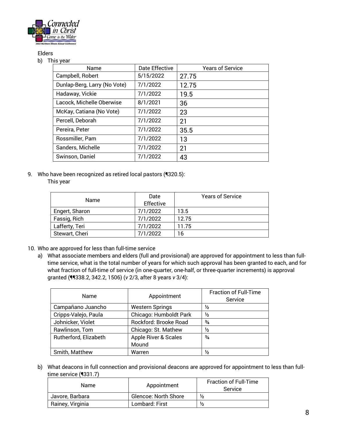

### Elders

#### b) This year

| Name                         | Date Effective | <b>Years of Service</b> |
|------------------------------|----------------|-------------------------|
| Campbell, Robert             | 5/15/2022      | 27.75                   |
| Dunlap-Berg, Larry (No Vote) | 7/1/2022       | 12.75                   |
| Hadaway, Vickie              | 7/1/2022       | 19.5                    |
| Lacock, Michelle Oberwise    | 8/1/2021       | 36                      |
| McKay, Catiana (No Vote)     | 7/1/2022       | 23                      |
| Percell, Deborah             | 7/1/2022       | 21                      |
| Pereira, Peter               | 7/1/2022       | 35.5                    |
| Rossmiller, Pam              | 7/1/2022       | 13                      |
| Sanders, Michelle            | 7/1/2022       | 21                      |
| Swinson, Daniel              | 7/1/2022       | 43                      |

9. Who have been recognized as retired local pastors (1320.5):

### This year

|                | Date      | <b>Years of Service</b> |
|----------------|-----------|-------------------------|
| Name           | Effective |                         |
| Engert, Sharon | 7/1/2022  | 13.5                    |
| Fassig, Rich   | 7/1/2022  | 12.75                   |
| Lafferty, Teri | 7/1/2022  | 11.75                   |
| Stewart, Cheri | 7/1/2022  | 16                      |
|                |           |                         |

- 10. Who are approved for less than full-time service
	- a) What associate members and elders (full and provisional) are approved for appointment to less than fulltime service, what is the total number of years for which such approval has been granted to each, and for what fraction of full-time of service (in one-quarter, one-half, or three-quarter increments) is approval granted (¶¶338.2, 342.2, 1506) (*v* 2/3, after 8 years *v* 3/4):

| <b>Name</b>           | Appointment            | <b>Fraction of Full-Time</b><br>Service |
|-----------------------|------------------------|-----------------------------------------|
| Campañano Juancho     | <b>Western Springs</b> | $\frac{1}{2}$                           |
| Cripps-Valejo, Paula  | Chicago: Humboldt Park | ⅓                                       |
| Johnicker, Violet     | Rockford: Brooke Road  | $\frac{3}{4}$                           |
| Rawlinson, Tom        | Chicago: St. Mathew    | $\frac{1}{2}$                           |
| Rutherford, Elizabeth | Apple River & Scales   | $\frac{3}{4}$                           |
|                       | Mound                  |                                         |
| Smith, Matthew        | Warren                 | ⅓                                       |

b) What deacons in full connection and provisional deacons are approved for appointment to less than fulltime service (¶331.7)

| Name             | Appointment                 | <b>Fraction of Full-Time</b><br><b>Service</b> |
|------------------|-----------------------------|------------------------------------------------|
| Javore, Barbara  | <b>Glencoe: North Shore</b> | $\frac{1}{2}$                                  |
| Rainey, Virginia | Lombard: First              | $\frac{1}{2}$                                  |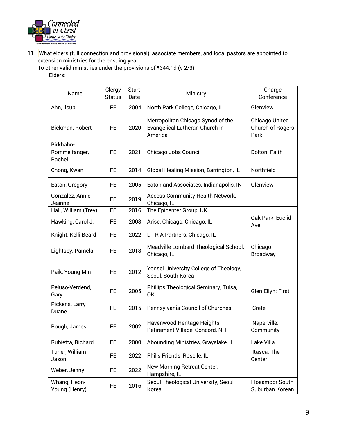

11. What elders (full connection and provisional), associate members, and local pastors are appointed to extension ministries for the ensuing year.

To other valid ministries under the provisions of ¶344.1d **(**v 2/3)

### Elders:

| Name                                 | Clergy<br><b>Status</b> | <b>Start</b><br>Date | Ministry                                                                       | Charge<br>Conference                       |
|--------------------------------------|-------------------------|----------------------|--------------------------------------------------------------------------------|--------------------------------------------|
| Ahn, Ilsup                           | <b>FE</b>               | 2004                 | North Park College, Chicago, IL                                                | Glenview                                   |
| Biekman, Robert                      | <b>FE</b>               | 2020                 | Metropolitan Chicago Synod of the<br>Evangelical Lutheran Church in<br>America | Chicago United<br>Church of Rogers<br>Park |
| Birkhahn-<br>Rommelfanger,<br>Rachel | FE.                     | 2021                 | Chicago Jobs Council                                                           | Dolton: Faith                              |
| Chong, Kwan                          | FE.                     | 2014                 | Global Healing Mission, Barrington, IL                                         | Northfield                                 |
| Eaton, Gregory                       | FE.                     | 2005                 | Eaton and Associates, Indianapolis, IN                                         | Glenview                                   |
| González, Annie<br>Jeanne            | <b>FE</b>               | 2019                 | Access Community Health Network,<br>Chicago, IL                                |                                            |
| Hall, William (Trey)                 | <b>FE</b>               | 2016                 | The Epicenter Group, UK                                                        |                                            |
| Hawking, Carol J.                    | FE.                     | 2008                 | Arise, Chicago, Chicago, IL                                                    | Oak Park: Euclid<br>Ave.                   |
| Knight, Kelli Beard                  | <b>FE</b>               | 2022                 | D I R A Partners, Chicago, IL                                                  |                                            |
| Lightsey, Pamela                     | FE.                     | 2018                 | Meadville Lombard Theological School,<br>Chicago, IL                           | Chicago:<br><b>Broadway</b>                |
| Paik, Young Min                      | <b>FE</b>               | 2012                 | Yonsei University College of Theology,<br>Seoul, South Korea                   |                                            |
| Peluso-Verdend,<br>Gary              | FE.                     | 2005                 | Phillips Theological Seminary, Tulsa,<br>0K                                    | Glen Ellyn: First                          |
| Pickens, Larry<br>Duane              | <b>FE</b>               | 2015                 | Pennsylvania Council of Churches                                               | Crete                                      |
| Rough, James                         | <b>FE</b>               | 2002                 | Havenwood Heritage Heights<br>Retirement Village, Concord, NH                  | Naperville:<br>Community                   |
| Rubietta, Richard                    | FE.                     | 2000                 | Abounding Ministries, Grayslake, IL                                            | Lake Villa                                 |
| Tuner, William<br>Jason              | FE.                     | 2022                 | Phil's Friends, Roselle, IL                                                    | Itasca: The<br>Center                      |
| Weber, Jenny                         | FE.                     | 2022                 | New Morning Retreat Center,<br>Hampshire, IL                                   |                                            |
| Whang, Heon-<br>Young (Henry)        | FE.                     | 2016                 | Seoul Theological University, Seoul<br>Korea                                   | Flossmoor South<br>Suburban Korean         |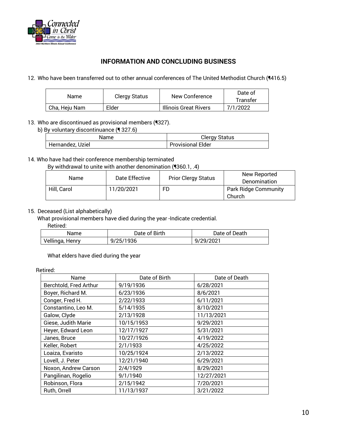

### **INFORMATION AND CONCLUDING BUSINESS**

12. Who have been transferred out to other annual conferences of The United Methodist Church (¶416.5)

| Name          | Clergy Status<br>New Conference |                              | Date of  |
|---------------|---------------------------------|------------------------------|----------|
|               |                                 | Transfer                     |          |
| Cha, Heju Nam | Elder                           | <b>Illinois Great Rivers</b> | 7/1/2022 |

13. Who are discontinued as provisional members (¶327).

b) By voluntary discontinuance (¶ 327.6)

| Name             | Clergy Status            |  |
|------------------|--------------------------|--|
| Hernandez, Uziel | <b>Provisional Elder</b> |  |

### 14. Who have had their conference membership terminated

By withdrawal to unite with another denomination (¶360.1, .4)

| Name        | Date Effective | <b>Prior Clergy Status</b> | New Reported<br>Denomination          |
|-------------|----------------|----------------------------|---------------------------------------|
| Hill, Carol | 11/20/2021     | FD                         | <b>Park Ridge Community</b><br>Church |

### 15. Deceased (List alphabetically)

What provisional members have died during the year -Indicate credential.

Retired:

| Name            | Date of Birth | Date of Death |
|-----------------|---------------|---------------|
| Vellinga, Henry | 9/25/1936     | 9/29/2021     |

What elders have died during the year

#### Retired:

| Name                   | Date of Birth | Date of Death |
|------------------------|---------------|---------------|
| Berchtold, Fred Arthur | 9/19/1936     | 6/28/2021     |
| Boyer, Richard M.      | 6/23/1936     | 8/6/2021      |
| Conger, Fred H.        | 2/22/1933     | 6/11/2021     |
| Constantino, Leo M.    | 5/14/1935     | 8/10/2021     |
| Galow, Clyde           | 2/13/1928     | 11/13/2021    |
| Giese, Judith Marie    | 10/15/1953    | 9/29/2021     |
| Heyer, Edward Leon     | 12/17/1927    | 5/31/2021     |
| Janes, Bruce           | 10/27/1926    | 4/19/2022     |
| Keller, Robert         | 2/1/1933      | 4/25/2022     |
| Loaiza, Evaristo       | 10/25/1924    | 2/13/2022     |
| Lovell, J. Peter       | 12/21/1940    | 6/29/2021     |
| Noxon, Andrew Carson   | 2/4/1929      | 8/29/2021     |
| Pangilinan, Rogelio    | 9/1/1940      | 12/27/2021    |
| Robinson, Flora        | 2/15/1942     | 7/20/2021     |
| Ruth, Orrell           | 11/13/1937    | 3/21/2022     |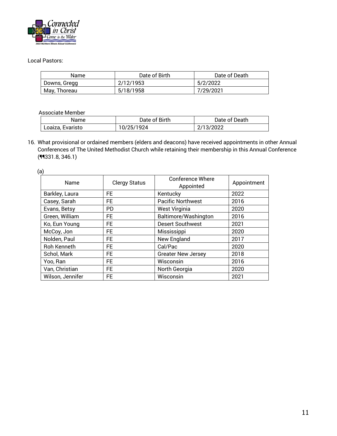

### Local Pastors:

| Name         | Date of Birth | Date of Death |
|--------------|---------------|---------------|
| Downs, Gregg | 2/12/1953     | 5/2/2022      |
| May, Thoreau | 5/18/1958     | 7/29/2021     |

Associate Member

| Name             | Date of Birth | Date of Death |
|------------------|---------------|---------------|
| Loaiza, Evaristo | 10/25/1924    | 2/13/2022     |

16. What provisional or ordained members (elders and deacons) have received appointments in other Annual Conferences of The United Methodist Church while retaining their membership in this Annual Conference  $(99331.8, 346.1)$ 

(a)

| Name             | <b>Clergy Status</b> | <b>Conference Where</b><br>Appointed | Appointment |
|------------------|----------------------|--------------------------------------|-------------|
| Barkley, Laura   | FE.                  | Kentucky                             | 2022        |
| Casey, Sarah     | FE                   | <b>Pacific Northwest</b>             | 2016        |
| Evans, Betsy     | <b>PD</b>            | <b>West Virginia</b>                 | 2020        |
| Green, William   | FE                   | Baltimore/Washington                 | 2016        |
| Ko, Eun Young    | FE                   | <b>Desert Southwest</b>              | 2021        |
| McCoy, Jon       | FE                   | Mississippi                          | 2020        |
| Nolden, Paul     | FE.                  | New England                          | 2017        |
| Roh Kenneth      | FE                   | Cal/Pac                              | 2020        |
| Schol, Mark      | FE                   | <b>Greater New Jersey</b>            | 2018        |
| Yoo, Ran         | FE                   | Wisconsin                            | 2016        |
| Van, Christian   | FE                   | North Georgia                        | 2020        |
| Wilson, Jennifer | FE                   | Wisconsin                            | 2021        |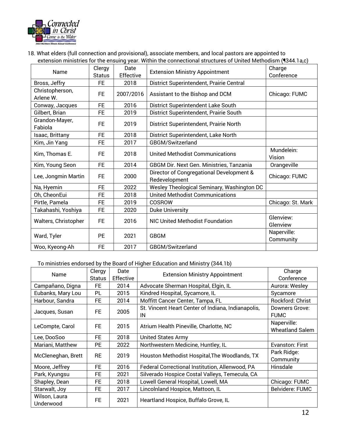

18. What elders (full connection and provisional), associate members, and local pastors are appointed to extension ministries for the ensuing year. Within the connectional structures of United Methodism (¶344.1a,c)

| Name                         | Clergy<br><b>Status</b> | Date<br>Effective | <b>Extension Ministry Appointment</b>                     | Charge<br>Conference     |
|------------------------------|-------------------------|-------------------|-----------------------------------------------------------|--------------------------|
| Bross, Jeffry                | <b>FE</b>               | 2018              | District Superintendent, Prairie Central                  |                          |
| Christopherson,<br>Arlene W. | FE                      | 2007/2016         | Assistant to the Bishop and DCM                           | Chicago: FUMC            |
| Conway, Jacques              | <b>FE</b>               | 2016              | District Superintendent Lake South                        |                          |
| Gilbert, Brian               | FE                      | 2019              | District Superintendent, Prairie South                    |                          |
| Grandon-Mayer,<br>Fabiola    | <b>FE</b>               | 2019              | District Superintendent, Prairie North                    |                          |
| Isaac, Brittany              | <b>FE</b>               | 2018              | District Superintendent, Lake North                       |                          |
| Kim, Jin Yang                | FE                      | 2017              | GBGM/Switzerland                                          |                          |
| Kim, Thomas E.               | FE                      | 2018              | <b>United Methodist Communications</b>                    | Mundelein:<br>Vision     |
| Kim, Young Seon              | <b>FE</b>               | 2014              | <b>GBGM Dir. Next Gen. Ministries, Tanzania</b>           | Orangeville              |
| Lee, Jongmin Martin          | FE                      | 2000              | Director of Congregational Development &<br>Redevelopment | Chicago: FUMC            |
| Na, Hyemin                   | <b>FE</b>               | 2022              | Wesley Theological Seminary, Washington DC                |                          |
| Oh, CheonEui                 | <b>FE</b>               | 2018              | <b>United Methodist Communications</b>                    |                          |
| Pirtle, Pamela               | FE                      | 2019              | COSROW                                                    | Chicago: St. Mark        |
| Takahashi, Yoshiya           | <b>FE</b>               | 2020              | <b>Duke University</b>                                    |                          |
| Walters, Christopher         | <b>FE</b>               | 2016              | <b>NIC United Methodist Foundation</b>                    | Glenview:<br>Glenview    |
| Ward, Tyler                  | <b>PE</b>               | 2021              | <b>GBGM</b>                                               | Naperville:<br>Community |
| Woo, Kyeong-Ah               | <b>FE</b>               | 2017              | GBGM/Switzerland                                          |                          |

### To ministries endorsed by the Board of Higher Education and Ministry (344.1b)

| Name                       | Clergy<br><b>Status</b> | Date<br>Effective | <b>Extension Ministry Appointment</b>                    | Charge<br>Conference                  |
|----------------------------|-------------------------|-------------------|----------------------------------------------------------|---------------------------------------|
| Campañano, Digna           | FE                      | 2014              | Advocate Sherman Hospital, Elgin, IL                     | Aurora: Wesley                        |
| Eubanks, Mary Lou          | PL                      | 2015              | Kindred Hospital, Sycamore, IL                           | Sycamore                              |
| Harbour, Sandra            | FE                      | 2014              | Moffitt Cancer Center, Tampa, FL                         | Rockford: Christ                      |
| Jacques, Susan             | <b>FE</b>               | 2005              | St. Vincent Heart Center of Indiana, Indianapolis,<br>IN | Downers Grove:<br><b>FUMC</b>         |
| LeCompte, Carol            | FE.                     | 2015              | Atrium Health Pineville, Charlotte, NC                   | Naperville:<br><b>Wheatland Salem</b> |
| Lee, DooSoo                | <b>FE</b>               | 2018              | <b>United States Army</b>                                |                                       |
| Mariani, Matthew           | <b>PE</b>               | 2022              | Northwestern Medicine, Huntley, IL                       | Evanston: First                       |
| McCleneghan, Brett         | <b>RE</b>               | 2019              | Houston Methodist Hospital, The Woodlands, TX            | Park Ridge:<br>Community              |
| Moore, Jeffrey             | <b>FE</b>               | 2016              | Federal Correctional Institution, Allenwood, PA          | Hinsdale                              |
| Park, Kyungsu              | <b>FE</b>               | 2021              | Silverado Hospice Costal Valleys, Temecula, CA           |                                       |
| Shapley, Dean              | <b>FE</b>               | 2018              | Lowell General Hospital, Lowell, MA                      | Chicago: FUMC                         |
| Starwalt, Joy              | <b>FE</b>               | 2017              | Lincolnland Hospice, Mattoon, IL                         | <b>Belvidere: FUMC</b>                |
| Wilson, Laura<br>Underwood | <b>FE</b>               | 2021              | Heartland Hospice, Buffalo Grove, IL                     |                                       |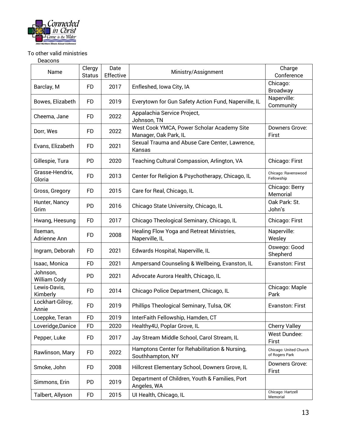

### To other valid ministries

Deacons

| Name                      | Clergy<br><b>Status</b> | Date<br>Effective | Ministry/Assignment                                                 | Charge<br>Conference                     |
|---------------------------|-------------------------|-------------------|---------------------------------------------------------------------|------------------------------------------|
| Barclay, M                | <b>FD</b>               | 2017              | Enfleshed, Iowa City, IA                                            | Chicago:<br>Broadway                     |
| Bowes, Elizabeth          | <b>FD</b>               | 2019              | Everytown for Gun Safety Action Fund, Naperville, IL                | Naperville:<br>Community                 |
| Cheema, Jane              | FD                      | 2022              | Appalachia Service Project,<br>Johnson, TN                          |                                          |
| Dorr, Wes                 | FD                      | 2022              | West Cook YMCA, Power Scholar Academy Site<br>Manager, Oak Park, IL | Downers Grove:<br>First                  |
| Evans, Elizabeth          | <b>FD</b>               | 2021              | Sexual Trauma and Abuse Care Center, Lawrence,<br>Kansas            |                                          |
| Gillespie, Tura           | PD                      | 2020              | Teaching Cultural Compassion, Arlington, VA                         | Chicago: First                           |
| Grasse-Hendrix,<br>Gloria | <b>FD</b>               | 2013              | Center for Religion & Psychotherapy, Chicago, IL                    | Chicago: Ravenswood<br>Fellowship        |
| Gross, Gregory            | <b>FD</b>               | 2015              | Care for Real, Chicago, IL                                          | Chicago: Berry<br>Memorial               |
| Hunter, Nancy<br>Grim     | PD                      | 2016              | Chicago State University, Chicago, IL                               | Oak Park: St.<br>John's                  |
| Hwang, Heesung            | <b>FD</b>               | 2017              | Chicago Theological Seminary, Chicago, IL                           | Chicago: First                           |
| Ilseman,<br>Adrienne Ann  | FD                      | 2008              | Healing Flow Yoga and Retreat Ministries,<br>Naperville, IL         | Naperville:<br>Wesley                    |
| Ingram, Deborah           | <b>FD</b>               | 2021              | Edwards Hospital, Naperville, IL                                    | Oswego: Good<br>Shepherd                 |
| Isaac, Monica             | <b>FD</b>               | 2021              | Ampersand Counseling & Wellbeing, Evanston, IL                      | Evanston: First                          |
| Johnson,<br>William Cody  | <b>PD</b>               | 2021              | Advocate Aurora Health, Chicago, IL                                 |                                          |
| Lewis-Davis,<br>Kimberly  | <b>FD</b>               | 2014              | Chicago Police Department, Chicago, IL                              | Chicago: Maple<br>Park                   |
| Lockhart-Gilroy,<br>Annie | <b>FD</b>               | 2019              | Phillips Theological Seminary, Tulsa, OK                            | Evanston: First                          |
| Loeppke, Teran            | <b>FD</b>               | 2019              | InterFaith Fellowship, Hamden, CT                                   |                                          |
| Loveridge, Danice         | <b>FD</b>               | 2020              | Healthy 4U, Poplar Grove, IL                                        | <b>Cherry Valley</b>                     |
| Pepper, Luke              | <b>FD</b>               | 2017              | Jay Stream Middle School, Carol Stream, IL                          | West Dundee:<br>First                    |
| Rawlinson, Mary           | <b>FD</b>               | 2022              | Hamptons Center for Rehabilitation & Nursing,<br>Southhampton, NY   | Chicago: United Church<br>of Rogers Park |
| Smoke, John               | <b>FD</b>               | 2008              | Hillcrest Elementary School, Downers Grove, IL                      | Downers Grove:<br>First                  |
| Simmons, Erin             | PD                      | 2019              | Department of Children, Youth & Families, Port<br>Angeles, WA       |                                          |
| Talbert, Allyson          | <b>FD</b>               | 2015              | UI Health, Chicago, IL                                              | Chicago: Hartzell<br>Memorial            |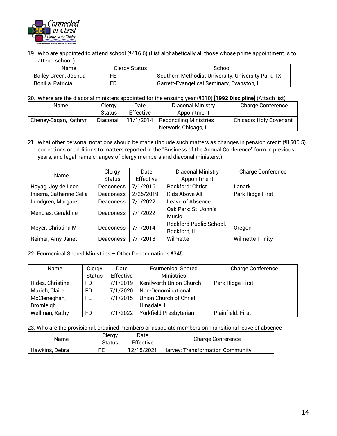

19. Who are appointed to attend school (¶416.6) (List alphabetically all those whose prime appointment is to attend school.)

| Name                 | Clergy Status | School                                             |
|----------------------|---------------|----------------------------------------------------|
| Bailey-Green, Joshua | FE            | Southern Methodist University, University Park, TX |
| Bonilla, Patricia    | FD            | Garrett-Evangelical Seminary, Evanston, IL         |

20. Where are the diaconal ministers appointed for the ensuing year (¶310) [**1992 Discipline**] (Attach list)

| Name                  | Clergy        | Date      | <b>Diaconal Ministry</b>      | <b>Charge Conference</b> |
|-----------------------|---------------|-----------|-------------------------------|--------------------------|
|                       | <b>Status</b> | Effective | Appointment                   |                          |
| Cheney-Eagan, Kathryn | Diaconal      | 11/1/2014 | <b>Reconciling Ministries</b> | Chicago: Holy Covenant   |
|                       |               |           | Network, Chicago, IL          |                          |

21. What other personal notations should be made (Include such matters as changes in pension credit (¶1506.5), corrections or additions to matters reported in the "Business of the Annual Conference" form in previous years, and legal name changes of clergy members and diaconal ministers.)

| Name                     | Clergy           |           | Diaconal Ministry       | <b>Charge Conference</b> |
|--------------------------|------------------|-----------|-------------------------|--------------------------|
|                          | <b>Status</b>    | Effective | Appointment             |                          |
| Hayag, Joy de Leon       | <b>Deaconess</b> | 7/1/2016  | Rockford: Christ        | Lanark                   |
| Inserra, Catherine Celia | <b>Deaconess</b> | 2/25/2019 | Kids Above All          | Park Ridge First         |
| Lundgren, Margaret       | <b>Deaconess</b> | 7/1/2022  | Leave of Absence        |                          |
|                          |                  | 7/1/2022  | Oak Park: St. John's    |                          |
| Mencias, Geraldine       | <b>Deaconess</b> |           | <b>Music</b>            |                          |
| Meyer, Christina M       |                  | 7/1/2014  | Rockford Public School, |                          |
|                          | <b>Deaconess</b> |           | Rockford, IL            | Oregon                   |
| Reimer, Amy Janet        | <b>Deaconess</b> | 7/1/2018  | Wilmette                | <b>Wilmette Trinity</b>  |

#### 22. Ecumenical Shared Ministries – Other Denominations ¶345

| Name             | Clergy        | Date      | <b>Ecumenical Shared</b> | <b>Charge Conference</b> |
|------------------|---------------|-----------|--------------------------|--------------------------|
|                  | <b>Status</b> | Effective | <b>Ministries</b>        |                          |
| Hides, Christine | FD.           | 7/1/2019  | Kenilworth Union Church  | Park Ridge First         |
| Marich, Claire   | FD.           | 7/1/2020  | Non-Denominational       |                          |
| McCleneghan,     | FE.           | 7/1/2015  | Union Church of Christ,  |                          |
| <b>Bromleigh</b> |               |           | Hinsdale, IL             |                          |
| Wellman, Kathy   | FD            | 7/1/2022  | Yorkfield Presbyterian   | Plainfield: First        |

23. Who are the provisional, ordained members or associate members on Transitional leave of absence

| Name           | Clergy<br>Status | Date<br>Effective | Charge Conference                |
|----------------|------------------|-------------------|----------------------------------|
| Hawkins, Debra | FE               | 12/15/2021        | Harvey: Transformation Community |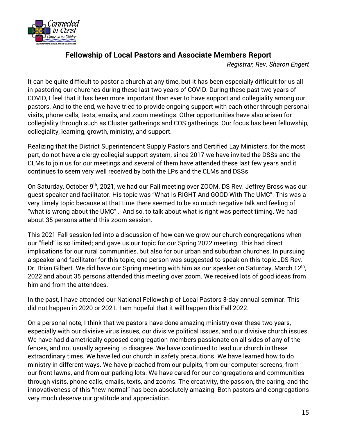

## **Fellowship of Local Pastors and Associate Members Report**

*Registrar, Rev. Sharon Engert*

It can be quite difficult to pastor a church at any time, but it has been especially difficult for us all in pastoring our churches during these last two years of COVID. During these past two years of COVID, I feel that it has been more important than ever to have support and collegiality among our pastors. And to the end, we have tried to provide ongoing support with each other through personal visits, phone calls, texts, emails, and zoom meetings. Other opportunities have also arisen for collegiality through such as Cluster gatherings and COS gatherings. Our focus has been fellowship, collegiality, learning, growth, ministry, and support.

Realizing that the District Superintendent Supply Pastors and Certified Lay Ministers, for the most part, do not have a clergy collegial support system, since 2017 we have invited the DSSs and the CLMs to join us for our meetings and several of them have attended these last few years and it continues to seem very well received by both the LPs and the CLMs and DSSs.

On Saturday, October 9th, 2021, we had our Fall meeting over ZOOM. DS Rev. Jeffrey Bross was our guest speaker and facilitator. His topic was "What Is RIGHT And GOOD With The UMC". This was a very timely topic because at that time there seemed to be so much negative talk and feeling of "what is wrong about the UMC" . And so, to talk about what is right was perfect timing. We had about 35 persons attend this zoom session.

This 2021 Fall session led into a discussion of how can we grow our church congregations when our "field" is so limited; and gave us our topic for our Spring 2022 meeting. This had direct implications for our rural communities, but also for our urban and suburban churches. In pursuing a speaker and facilitator for this topic, one person was suggested to speak on this topic…DS Rev. Dr. Brian Gilbert. We did have our Spring meeting with him as our speaker on Saturday, March 12<sup>th</sup>, 2022 and about 35 persons attended this meeting over zoom. We received lots of good ideas from him and from the attendees.

In the past, I have attended our National Fellowship of Local Pastors 3-day annual seminar. This did not happen in 2020 or 2021. I am hopeful that it will happen this Fall 2022.

On a personal note, I think that we pastors have done amazing ministry over these two years, especially with our divisive virus issues, our divisive political issues, and our divisive church issues. We have had diametrically opposed congregation members passionate on all sides of any of the fences, and not usually agreeing to disagree. We have continued to lead our church in these extraordinary times. We have led our church in safety precautions. We have learned how to do ministry in different ways. We have preached from our pulpits, from our computer screens, from our front lawns, and from our parking lots. We have cared for our congregations and communities through visits, phone calls, emails, texts, and zooms. The creativity, the passion, the caring, and the innovativeness of this "new normal" has been absolutely amazing. Both pastors and congregations very much deserve our gratitude and appreciation.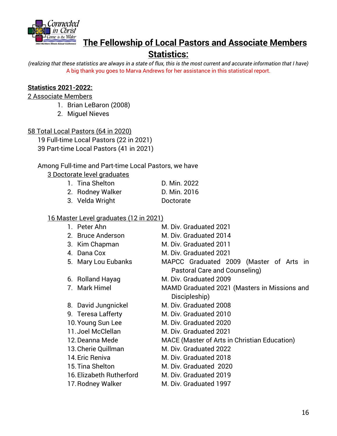

## **The Fellowship of Local Pastors and Associate Members**

## **Statistics:**

*(realizing that these statistics are always in a state of flux, this is the most current and accurate information that I have)* A big thank you goes to Marva Andrews for her assistance in this statistical report.

## **Statistics 2021-2022:**

### 2 Associate Members

- 1. Brian LeBaron (2008)
- 2. Miguel Nieves

### 58 Total Local Pastors (64 in 2020)

19 Full-time Local Pastors (22 in 2021) 39 Part-time Local Pastors (41 in 2021)

### Among Full-time and Part-time Local Pastors, we have

3 Doctorate level graduates

| 1. Tina Shelton  | D. Min. 2022 |
|------------------|--------------|
| 2. Rodney Walker | D. Min. 2016 |
| 3. Velda Wright  | Doctorate    |

### 16 Master Level graduates (12 in 2021)

| 1. Peter Ahn             | M. Div. Graduated 2021                              |  |  |  |  |
|--------------------------|-----------------------------------------------------|--|--|--|--|
| 2. Bruce Anderson        | M. Div. Graduated 2014                              |  |  |  |  |
| 3. Kim Chapman           | M. Div. Graduated 2011                              |  |  |  |  |
| 4. Dana Cox              | M. Div. Graduated 2021                              |  |  |  |  |
| 5. Mary Lou Eubanks      | MAPCC Graduated 2009 (Master of Arts in             |  |  |  |  |
|                          | Pastoral Care and Counseling)                       |  |  |  |  |
| 6. Rolland Hayag         | M. Div. Graduated 2009                              |  |  |  |  |
| 7. Mark Himel            | MAMD Graduated 2021 (Masters in Missions and        |  |  |  |  |
|                          | Discipleship)                                       |  |  |  |  |
| 8. David Jungnickel      | M. Div. Graduated 2008                              |  |  |  |  |
| 9. Teresa Lafferty       | M. Div. Graduated 2010                              |  |  |  |  |
| 10. Young Sun Lee        | M. Div. Graduated 2020                              |  |  |  |  |
| 11. Joel McClellan       | M. Div. Graduated 2021                              |  |  |  |  |
| 12. Deanna Mede          | <b>MACE (Master of Arts in Christian Education)</b> |  |  |  |  |
| 13. Cherie Quillman      | M. Div. Graduated 2022                              |  |  |  |  |
| 14. Eric Reniva          | M. Div. Graduated 2018                              |  |  |  |  |
| 15. Tina Shelton         | M. Div. Graduated 2020                              |  |  |  |  |
| 16. Elizabeth Rutherford | M. Div. Graduated 2019                              |  |  |  |  |
| 17. Rodney Walker        | M. Div. Graduated 1997                              |  |  |  |  |
|                          |                                                     |  |  |  |  |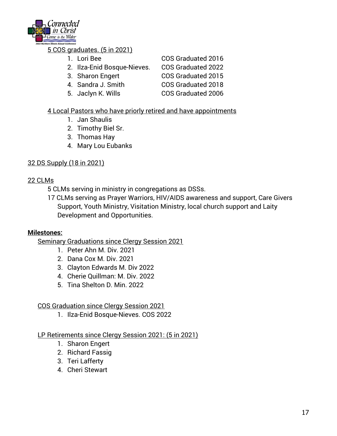

## 5 COS graduates. (5 in 2021)

| 1. Lori Bee                 | COS Graduated 2016        |
|-----------------------------|---------------------------|
| 2. Ilza-Enid Bosque-Nieves. | COS Graduated 2022        |
| 3. Sharon Engert            | COS Graduated 2015        |
| 4. Sandra J. Smith          | COS Graduated 2018        |
| 5. Jaclyn K. Wills          | <b>COS Graduated 2006</b> |

## 4 Local Pastors who have priorly retired and have appointments

- 1. Jan Shaulis
- 2. Timothy Biel Sr.
- 3. Thomas Hay
- 4. Mary Lou Eubanks

## 32 DS Supply (18 in 2021)

## 22 CLMs

- 5 CLMs serving in ministry in congregations as DSSs.
- 17 CLMs serving as Prayer Warriors, HIV/AIDS awareness and support, Care Givers Support, Youth Ministry, Visitation Ministry, local church support and Laity Development and Opportunities.

## **Milestones:**

Seminary Graduations since Clergy Session 2021

- 1. Peter Ahn M. Div. 2021
- 2. Dana Cox M. Div. 2021
- 3. Clayton Edwards M. Div 2022
- 4. Cherie Quillman: M. Div. 2022
- 5. Tina Shelton D. Min. 2022

## COS Graduation since Clergy Session 2021

1. Ilza-Enid Bosque-Nieves. COS 2022

## LP Retirements since Clergy Session 2021: (5 in 2021)

- 1. Sharon Engert
- 2. Richard Fassig
- 3. Teri Lafferty
- 4. Cheri Stewart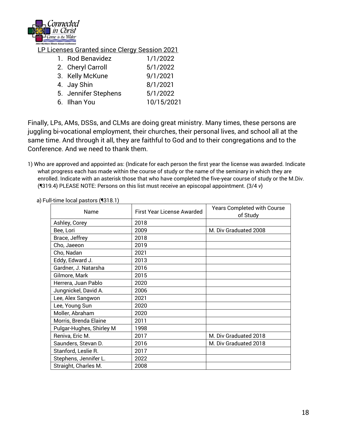

LP Licenses Granted since Clergy Session 2021

| 1. Rod Benavidez     | 1/1/2022   |
|----------------------|------------|
| 2. Cheryl Carroll    | 5/1/2022   |
| 3. Kelly McKune      | 9/1/2021   |
| 4. Jay Shin          | 8/1/2021   |
| 5. Jennifer Stephens | 5/1/2022   |
| 6. Ilhan You         | 10/15/2021 |
|                      |            |

Finally, LPs, AMs, DSSs, and CLMs are doing great ministry. Many times, these persons are juggling bi-vocational employment, their churches, their personal lives, and school all at the same time. And through it all, they are faithful to God and to their congregations and to the Conference. And we need to thank them.

1) Who are approved and appointed as: (Indicate for each person the first year the license was awarded. Indicate what progress each has made within the course of study or the name of the seminary in which they are enrolled. Indicate with an asterisk those that who have completed the five-year course of study or the M.Div. (¶319.4) PLEASE NOTE: Persons on this list must receive an episcopal appointment. (3/4 *v*)

| Name                     | <b>First Year License Awarded</b> | <b>Years Completed with Course</b><br>of Study |  |
|--------------------------|-----------------------------------|------------------------------------------------|--|
| Ashley, Corey            | 2018                              |                                                |  |
| Bee, Lori                | 2009                              | M. Div Graduated 2008                          |  |
| Brace, Jeffrey           | 2018                              |                                                |  |
| Cho, Jaeeon              | 2019                              |                                                |  |
| Cho, Nadan               | 2021                              |                                                |  |
| Eddy, Edward J.          | 2013                              |                                                |  |
| Gardner, J. Natarsha     | 2016                              |                                                |  |
| Gilmore, Mark            | 2015                              |                                                |  |
| Herrera, Juan Pablo      | 2020                              |                                                |  |
| Jungnickel, David A.     | 2006                              |                                                |  |
| Lee, Alex Sangwon        | 2021                              |                                                |  |
| Lee, Young Sun           | 2020                              |                                                |  |
| Moller, Abraham          | 2020                              |                                                |  |
| Morris, Brenda Elaine    | 2011                              |                                                |  |
| Pulgar-Hughes, Shirley M | 1998                              |                                                |  |
| Reniva, Eric M.          | 2017                              | M. Div Graduated 2018                          |  |
| Saunders, Stevan D.      | 2016                              | M. Div Graduated 2018                          |  |
| Stanford, Leslie R.      | 2017                              |                                                |  |
| Stephens, Jennifer L.    | 2022                              |                                                |  |
| Straight, Charles M.     | 2008                              |                                                |  |

a) Full-time local pastors (¶318.1)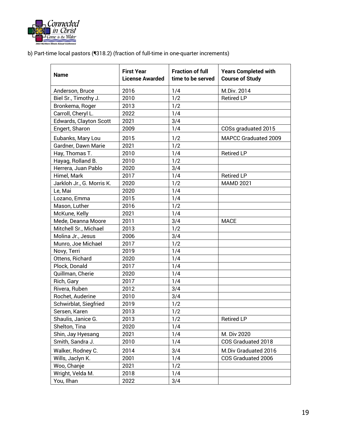

b) Part-time local pastors (¶318.2) (fraction of full-time in one-quarter increments)

| <b>Name</b>               | <b>First Year</b><br><b>License Awarded</b> | <b>Fraction of full</b><br>time to be served | <b>Years Completed with</b><br><b>Course of Study</b> |
|---------------------------|---------------------------------------------|----------------------------------------------|-------------------------------------------------------|
| Anderson, Bruce           | 2016                                        | 1/4                                          | M.Div. 2014                                           |
| Biel Sr., Timothy J.      | 2010                                        | 1/2                                          | <b>Retired LP</b>                                     |
| Bronkema, Roger           | 2013                                        | 1/2                                          |                                                       |
| Carroll, Cheryl L.        | 2022                                        | 1/4                                          |                                                       |
| Edwards, Clayton Scott    | 2021                                        | 3/4                                          |                                                       |
| Engert, Sharon            | 2009                                        | 1/4                                          | COSs graduated 2015                                   |
| Eubanks, Mary Lou         | 2015                                        | 1/2                                          | MAPCC Graduated 2009                                  |
| Gardner, Dawn Marie       | 2021                                        | 1/2                                          |                                                       |
| Hay, Thomas T.            | 2010                                        | 1/4                                          | <b>Retired LP</b>                                     |
| Hayag, Rolland B.         | 2010                                        | 1/2                                          |                                                       |
| Herrera, Juan Pablo       | 2020                                        | 3/4                                          |                                                       |
| Himel, Mark               | 2017                                        | 1/4                                          | <b>Retired LP</b>                                     |
| Jarkloh Jr., G. Morris K. | 2020                                        | 1/2                                          | <b>MAMD 2021</b>                                      |
| Le, Mai                   | 2020                                        | 1/4                                          |                                                       |
| Lozano, Emma              | 2015                                        | 1/4                                          |                                                       |
| Mason, Luther             | 2016                                        | 1/2                                          |                                                       |
| McKune, Kelly             | 2021                                        | 1/4                                          |                                                       |
| Mede, Deanna Moore        | 2011                                        | 3/4                                          | <b>MACE</b>                                           |
| Mitchell Sr., Michael     | 2013                                        | 1/2                                          |                                                       |
| Molina Jr., Jesus         | 2006                                        | 3/4                                          |                                                       |
| Munro, Joe Michael        | 2017                                        | 1/2                                          |                                                       |
| Novy, Terri               | 2019                                        | 1/4                                          |                                                       |
| Ottens, Richard           | 2020                                        | 1/4                                          |                                                       |
| Plock, Donald             | 2017                                        | 1/4                                          |                                                       |
| Quillman, Cherie          | 2020                                        | 1/4                                          |                                                       |
| Rich, Gary                | 2017                                        | 1/4                                          |                                                       |
| Rivera, Ruben             | 2012                                        | 3/4                                          |                                                       |
| Rochet, Auderine          | 2010                                        | 3/4                                          |                                                       |
| Schwirblat, Siegfried     | 2019                                        | 1/2                                          |                                                       |
| Sersen, Karen             | 2013                                        | 1/2                                          |                                                       |
| Shaulis, Janice G.        | 2013                                        | 1/2                                          | <b>Retired LP</b>                                     |
| Shelton, Tina             | 2020                                        | 1/4                                          |                                                       |
| Shin, Jay Hyesang         | 2021                                        | 1/4                                          | M. Div 2020                                           |
| Smith, Sandra J.          | 2010                                        | 1/4                                          | COS Graduated 2018                                    |
| Walker, Rodney C.         | 2014                                        | 3/4                                          | M.Div Graduated 2016                                  |
| Wills, Jaclyn K.          | 2001                                        | 1/4                                          | COS Graduated 2006                                    |
| Woo, Chanje               | 2021                                        | 1/2                                          |                                                       |
| Wright, Velda M.          | 2018                                        | 1/4                                          |                                                       |
| You, Ilhan                | 2022                                        | 3/4                                          |                                                       |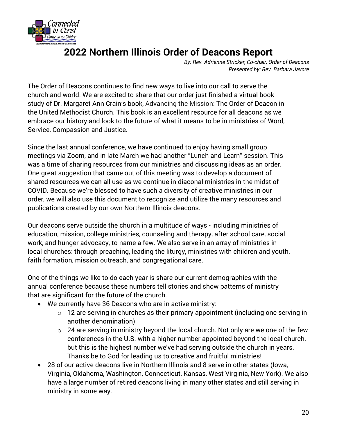

# **2022 Northern Illinois Order of Deacons Report**

*By: Rev. Adrienne Stricker, Co-chair, Order of Deacons Presented by: Rev. Barbara Javore*

The Order of Deacons continues to find new ways to live into our call to serve the church and world. We are excited to share that our order just finished a virtual book study of Dr. Margaret Ann Crain's book, Advancing the Mission: The Order of Deacon in the United Methodist Church. This book is an excellent resource for all deacons as we embrace our history and look to the future of what it means to be in ministries of Word, Service, Compassion and Justice.

Since the last annual conference, we have continued to enjoy having small group meetings via Zoom, and in late March we had another "Lunch and Learn" session. This was a time of sharing resources from our ministries and discussing ideas as an order. One great suggestion that came out of this meeting was to develop a document of shared resources we can all use as we continue in diaconal ministries in the midst of COVID. Because we're blessed to have such a diversity of creative ministries in our order, we will also use this document to recognize and utilize the many resources and publications created by our own Northern Illinois deacons.

Our deacons serve outside the church in a multitude of ways - including ministries of education, mission, college ministries, counseling and therapy, after school care, social work, and hunger advocacy, to name a few. We also serve in an array of ministries in local churches: through preaching, leading the liturgy, ministries with children and youth, faith formation, mission outreach, and congregational care.

One of the things we like to do each year is share our current demographics with the annual conference because these numbers tell stories and show patterns of ministry that are significant for the future of the church.

- We currently have 36 Deacons who are in active ministry:
	- o 12 are serving in churches as their primary appointment (including one serving in another denomination)
	- $\circ$  24 are serving in ministry beyond the local church. Not only are we one of the few conferences in the U.S. with a higher number appointed beyond the local church, but this is the highest number we've had serving outside the church in years. Thanks be to God for leading us to creative and fruitful ministries!
- 28 of our active deacons live in Northern Illinois and 8 serve in other states (Iowa, Virginia, Oklahoma, Washington, Connecticut, Kansas, West Virginia, New York). We also have a large number of retired deacons living in many other states and still serving in ministry in some way.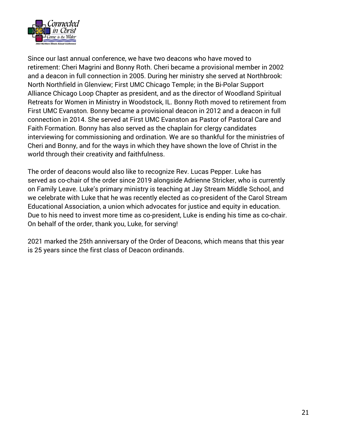

Since our last annual conference, we have two deacons who have moved to retirement: Cheri Magrini and Bonny Roth. Cheri became a provisional member in 2002 and a deacon in full connection in 2005. During her ministry she served at Northbrook: North Northfield in Glenview; First UMC Chicago Temple; in the Bi-Polar Support Alliance Chicago Loop Chapter as president, and as the director of Woodland Spiritual Retreats for Women in Ministry in Woodstock, IL. Bonny Roth moved to retirement from First UMC Evanston. Bonny became a provisional deacon in 2012 and a deacon in full connection in 2014. She served at First UMC Evanston as Pastor of Pastoral Care and Faith Formation. Bonny has also served as the chaplain for clergy candidates interviewing for commissioning and ordination. We are so thankful for the ministries of Cheri and Bonny, and for the ways in which they have shown the love of Christ in the world through their creativity and faithfulness.

The order of deacons would also like to recognize Rev. Lucas Pepper. Luke has served as co-chair of the order since 2019 alongside Adrienne Stricker, who is currently on Family Leave. Luke's primary ministry is teaching at Jay Stream Middle School, and we celebrate with Luke that he was recently elected as co-president of the Carol Stream Educational Association, a union which advocates for justice and equity in education. Due to his need to invest more time as co-president, Luke is ending his time as co-chair. On behalf of the order, thank you, Luke, for serving!

2021 marked the 25th anniversary of the Order of Deacons, which means that this year is 25 years since the first class of Deacon ordinands.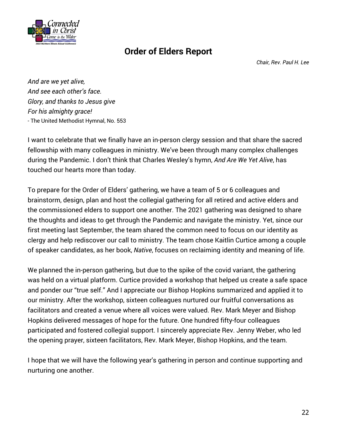

## **Order of Elders Report**

*Chair, Rev. Paul H. Lee*

*And are we yet alive, And see each other's face. Glory, and thanks to Jesus give For his almighty grace!* - The United Methodist Hymnal, No. 553

I want to celebrate that we finally have an in-person clergy session and that share the sacred fellowship with many colleagues in ministry. We've been through many complex challenges during the Pandemic. I don't think that Charles Wesley's hymn, *And Are We Yet Alive*, has touched our hearts more than today.

To prepare for the Order of Elders' gathering, we have a team of 5 or 6 colleagues and brainstorm, design, plan and host the collegial gathering for all retired and active elders and the commissioned elders to support one another. The 2021 gathering was designed to share the thoughts and ideas to get through the Pandemic and navigate the ministry. Yet, since our first meeting last September, the team shared the common need to focus on our identity as clergy and help rediscover our call to ministry. The team chose Kaitlin Curtice among a couple of speaker candidates, as her book, *Native*, focuses on reclaiming identity and meaning of life.

We planned the in-person gathering, but due to the spike of the covid variant, the gathering was held on a virtual platform. Curtice provided a workshop that helped us create a safe space and ponder our "true self." And I appreciate our Bishop Hopkins summarized and applied it to our ministry. After the workshop, sixteen colleagues nurtured our fruitful conversations as facilitators and created a venue where all voices were valued. Rev. Mark Meyer and Bishop Hopkins delivered messages of hope for the future. One hundred fifty-four colleagues participated and fostered collegial support. I sincerely appreciate Rev. Jenny Weber, who led the opening prayer, sixteen facilitators, Rev. Mark Meyer, Bishop Hopkins, and the team.

I hope that we will have the following year's gathering in person and continue supporting and nurturing one another.